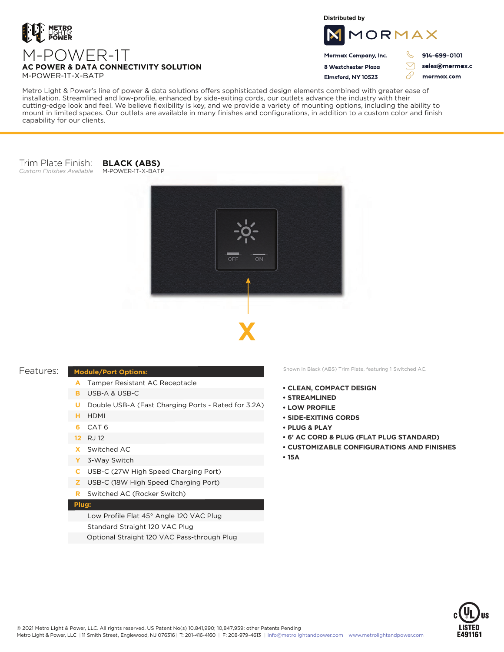

**Distributed by**



8 Westchester Plaza Flmsford, NY 10523

914-699-0101

sales@mormax.c mormax.com

 $\triangledown$ 

76

Metro Light & Power's line of power & data solutions offers sophisticated design elements combined with greater ease of installation. Streamlined and low-profile, enhanced by side-exiting cords, our outlets advance the industry with their cutting-edge look and feel. We believe flexibility is key, and we provide a variety of mounting options, including the ability to mount in limited spaces. Our outlets are available in many finishes and configurations, in addition to a custom color and finish capability for our clients.

## Trim Plate Finish: *Custom Finishes Available*

**BLACK (ABS)** M-POWER-1T-X-BATP





## **Module/Port Options:**

- A Tamper Resistant AC Receptacle
- USB-A & USB-C **B**
- U Double USB-A (Fast Charging Ports Rated for 3.2A)
- HDMI **H**
- CAT 6 **6**
- 12 RJ 12
- Switched AC **X**
- 3-Way Switch **Y**
- USB-C (27W High Speed Charging Port) **C**
- USB-C (18W High Speed Charging Port) **Z**
- Switched AC (Rocker Switch) **R**

## **Plug:**

Low Profile Flat 45° Angle 120 VAC Plug Standard Straight 120 VAC Plug Optional Straight 120 VAC Pass-through Plug

Features: Module/Port Options: Shown in Black (ABS) Trim Plate, featuring 1 Switched AC.

- **• CLEAN, COMPACT DESIGN**
- **• STREAMLINED**
- **• LOW PROFILE**
- **• SIDE-EXITING CORDS**
- **• PLUG & PLAY**
- **• 6' AC CORD & PLUG (FLAT PLUG STANDARD)**
- **• CUSTOMIZABLE CONFIGURATIONS AND FINISHES**
- **• 15A**